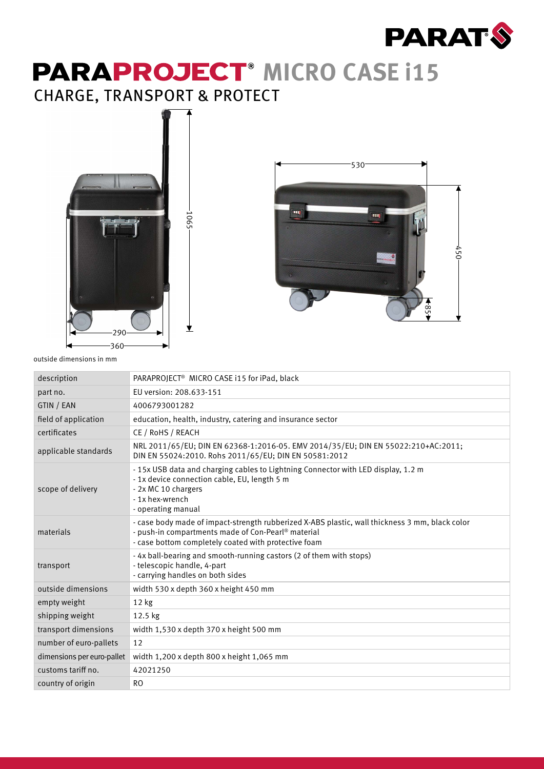

## **PARAPROJECT<sup>®</sup> MICRO CASE i15** CHARGE, TRANSPORT & PROTECT



1065

 $\bigstar$ 



outside dimensions in mm

| description                | PARAPROJECT® MICRO CASE i15 for iPad, black                                                                                                                                                                  |
|----------------------------|--------------------------------------------------------------------------------------------------------------------------------------------------------------------------------------------------------------|
| part no.                   | EU version: 208.633-151                                                                                                                                                                                      |
| GTIN / EAN                 | 4006793001282                                                                                                                                                                                                |
| field of application       | education, health, industry, catering and insurance sector                                                                                                                                                   |
| certificates               | CE / RoHS / REACH                                                                                                                                                                                            |
| applicable standards       | NRL 2011/65/EU; DIN EN 62368-1:2016-05. EMV 2014/35/EU; DIN EN 55022:210+AC:2011;<br>DIN EN 55024:2010. Rohs 2011/65/EU; DIN EN 50581:2012                                                                   |
| scope of delivery          | - 15x USB data and charging cables to Lightning Connector with LED display, 1.2 m<br>- 1x device connection cable, EU, length 5 m<br>- 2x MC 10 chargers<br>- 1x hex-wrench<br>- operating manual            |
| materials                  | - case body made of impact-strength rubberized X-ABS plastic, wall thickness 3 mm, black color<br>- push-in compartments made of Con-Pearl® material<br>- case bottom completely coated with protective foam |
| transport                  | - 4x ball-bearing and smooth-running castors (2 of them with stops)<br>- telescopic handle, 4-part<br>- carrying handles on both sides                                                                       |
| outside dimensions         | width 530 x depth 360 x height 450 mm                                                                                                                                                                        |
| empty weight               | $12$ kg                                                                                                                                                                                                      |
| shipping weight            | 12.5 kg                                                                                                                                                                                                      |
| transport dimensions       | width 1,530 x depth 370 x height 500 mm                                                                                                                                                                      |
| number of euro-pallets     | 12                                                                                                                                                                                                           |
| dimensions per euro-pallet | width 1,200 x depth 800 x height 1,065 mm                                                                                                                                                                    |
| customs tariff no.         | 42021250                                                                                                                                                                                                     |
| country of origin          | <sub>RO</sub>                                                                                                                                                                                                |